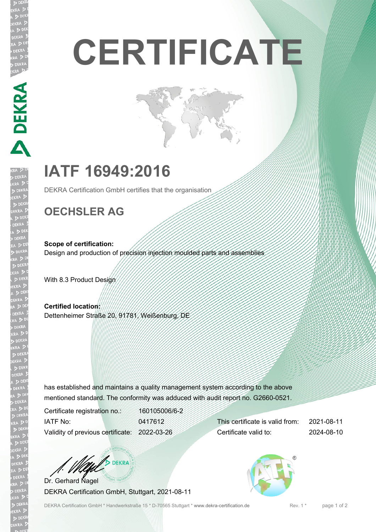# **CERTIFICATE**

## **IATF 16949:2016**

DEKRA Certification GmbH certifies that the organisation

## **OECHSLER AG**

**Scope of certification:** Design and production of precision injection moulded parts and assemblies

With 8.3 Product Design

**Certified location:** Dettenheimer Straße 20, 91781, Weißenburg, DE

has established and maintains a quality management system according to the above mentioned standard. The conformity was adduced with audit report no. G2660-0521.

Certificate registration no.: 160105006/6-2 IATF No: 0417612 Validity of previous certificate: 2022-03-26

This certificate is valid from: 2021-08-11 Certificate valid to: 2024-08-10

**DEKRA** Dr. Gerhard Nagel

DEKRA Certification GmbH, Stuttgart, 2021-08-11

DEKRA Certification GmbH \* Handwerkstraße 15 \* D-70565 Stuttgart \* www.dekra-certification.de Rev. 1 \*